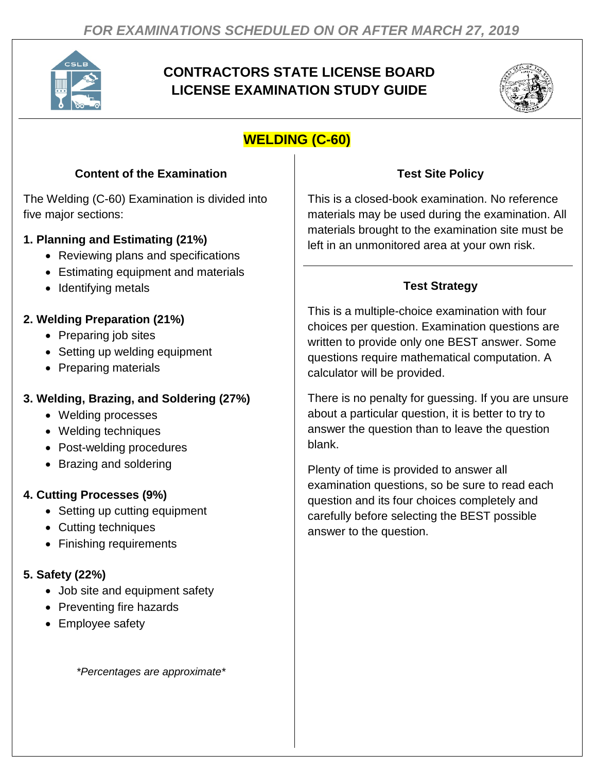

# **CONTRACTORS STATE LICENSE BOARD LICENSE EXAMINATION STUDY GUIDE**



# **WELDING (C-60)**

#### **Content of the Examination**

The Welding (C-60) Examination is divided into five major sections:

### **1. Planning and Estimating (21%)**

- Reviewing plans and specifications
- Estimating equipment and materials
- Identifying metals

### **2. Welding Preparation (21%)**

- Preparing job sites
- Setting up welding equipment
- Preparing materials

## **3. Welding, Brazing, and Soldering (27%)**

- Welding processes
- Welding techniques
- Post-welding procedures
- Brazing and soldering

# **4. Cutting Processes (9%)**

- Setting up cutting equipment
- Cutting techniques
- Finishing requirements

## **5. Safety (22%)**

- Job site and equipment safety
- Preventing fire hazards
- Employee safety

*\*Percentages are approximate\**

## **Test Site Policy**

This is a closed-book examination. No reference materials may be used during the examination. All materials brought to the examination site must be left in an unmonitored area at your own risk.

# **Test Strategy**

This is a multiple-choice examination with four choices per question. Examination questions are written to provide only one BEST answer. Some questions require mathematical computation. A calculator will be provided.

There is no penalty for guessing. If you are unsure about a particular question, it is better to try to answer the question than to leave the question blank.

Plenty of time is provided to answer all examination questions, so be sure to read each question and its four choices completely and carefully before selecting the BEST possible answer to the question.